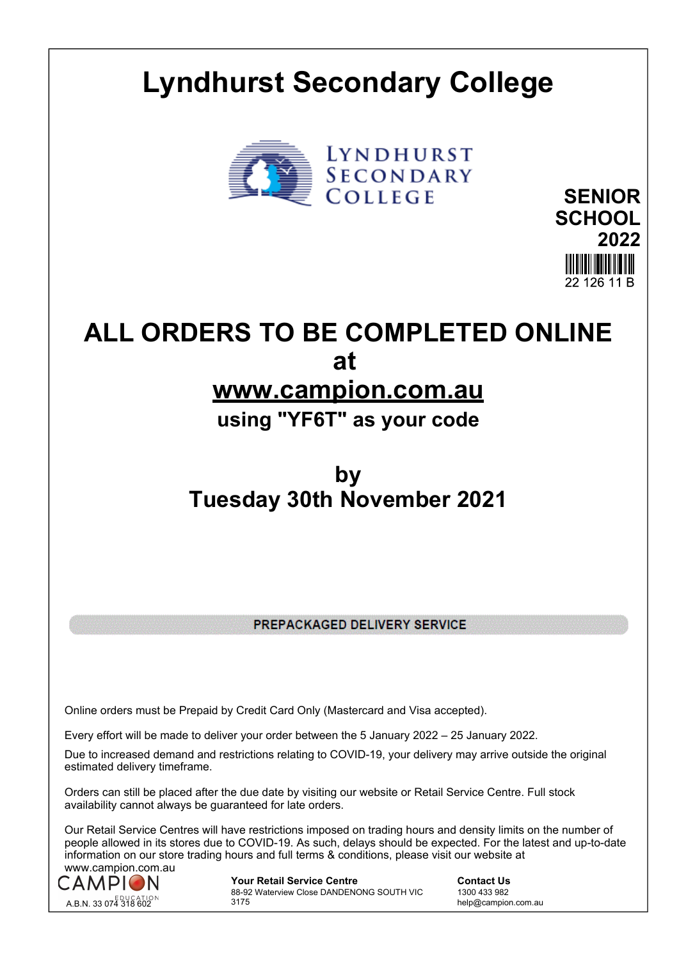# **Lyndhurst Secondary College**





# **ALL ORDERS TO BE COMPLETED ONLINE at www.campion.com.au**

# **using "YF6T" as your code**

# **by Tuesday 30th November 2021**

PREPACKAGED DELIVERY SERVICE

Online orders must be Prepaid by Credit Card Only (Mastercard and Visa accepted).

Every effort will be made to deliver your order between the 5 January 2022 – 25 January 2022.

Due to increased demand and restrictions relating to COVID-19, your delivery may arrive outside the original estimated delivery timeframe.

Orders can still be placed after the due date by visiting our website or Retail Service Centre. Full stock availability cannot always be guaranteed for late orders.

Our Retail Service Centres will have restrictions imposed on trading hours and density limits on the number of people allowed in its stores due to COVID-19. As such, delays should be expected. For the latest and up-to-date information on our store trading hours and full terms & conditions, please visit our website at www.campion.com.au



**Your Retail Service Centre Contact Us** 88-92 Waterview Close DANDENONG SOUTH VIC 3175

1300 433 982 help@campion.com.au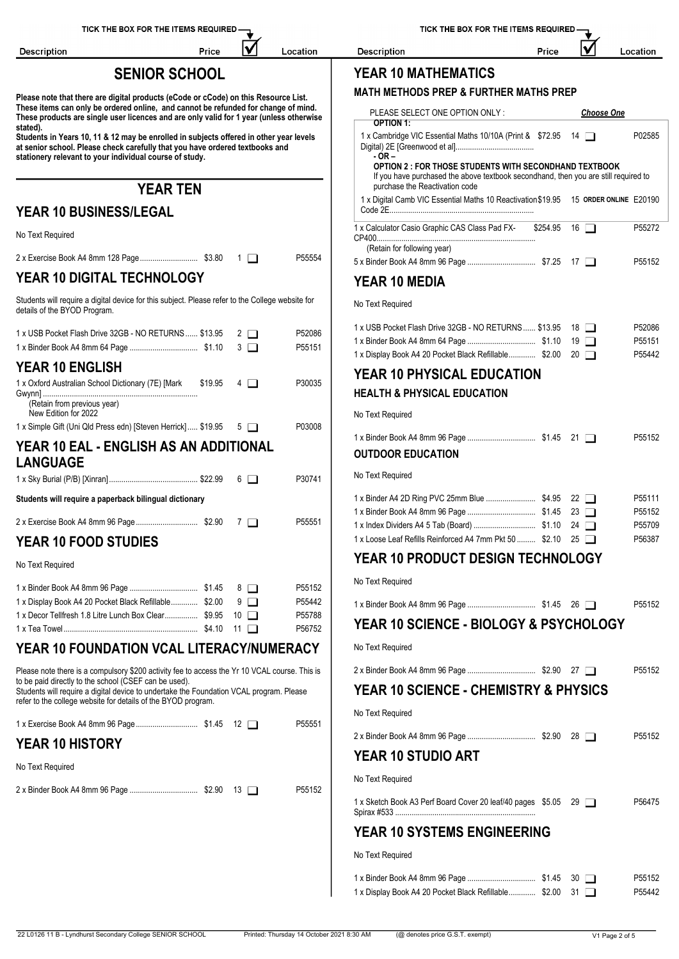| TICK THE BOX FOR THE ITEMS REQUIRED — |  |
|---------------------------------------|--|
|---------------------------------------|--|

Location

Price

| W | Location |
|---|----------|
|---|----------|

# **SENIOR SCHOOL YEAR 10 MATHEMATICS**

Description

| PLEASE SELECT ONE OPTION ONLY:<br>OPTION 1:                                                                                                                                               |                     | <b>Choose One</b> |                    |
|-------------------------------------------------------------------------------------------------------------------------------------------------------------------------------------------|---------------------|-------------------|--------------------|
| 1 x Cambridge VIC Essential Maths 10/10A (Print & \$72.95 14                                                                                                                              |                     |                   | P02585             |
| - OR –<br>OPTION 2 : FOR THOSE STUDENTS WITH SECONDHAND TEXTBOOK<br>If you have purchased the above textbook secondhand, then you are still required to<br>purchase the Reactivation code |                     |                   |                    |
| 1 x Digital Camb VIC Essential Maths 10 Reactivation \$19.95 15 ORDER ONLINE E20190                                                                                                       |                     |                   |                    |
| 1 x Calculator Casio Graphic CAS Class Pad FX-                                                                                                                                            | $$254.95$ 16 $\Box$ |                   | P55272             |
| (Retain for following year)                                                                                                                                                               |                     |                   | P55152             |
| <b>YEAR 10 MEDIA</b>                                                                                                                                                                      |                     |                   |                    |
|                                                                                                                                                                                           |                     |                   |                    |
| No Text Required                                                                                                                                                                          |                     |                   |                    |
| 1 x USB Pocket Flash Drive 32GB - NO RETURNS \$13.95                                                                                                                                      |                     | $18$ $\Box$       | P52086             |
| 1 x Display Book A4 20 Pocket Black Refillable \$2.00 20                                                                                                                                  |                     |                   | P55151<br>P55442   |
| <b>YEAR 10 PHYSICAL EDUCATION</b>                                                                                                                                                         |                     |                   |                    |
| <b>HEALTH &amp; PHYSICAL EDUCATION</b>                                                                                                                                                    |                     |                   |                    |
| No Text Required                                                                                                                                                                          |                     |                   |                    |
|                                                                                                                                                                                           |                     |                   | P55152             |
| <b>OUTDOOR EDUCATION</b>                                                                                                                                                                  |                     |                   |                    |
| No Text Required                                                                                                                                                                          |                     |                   |                    |
|                                                                                                                                                                                           |                     |                   | P <sub>55111</sub> |
|                                                                                                                                                                                           |                     | $23 \Box$         | P55152             |
| 1 x Loose Leaf Refills Reinforced A4 7mm Pkt 50  \$2.10 25                                                                                                                                |                     |                   | P55709<br>P56387   |
| YEAR 10 PRODUCT DESIGN TECHNOLOGY                                                                                                                                                         |                     |                   |                    |
| No Text Required                                                                                                                                                                          |                     |                   |                    |
|                                                                                                                                                                                           |                     |                   | P55152             |
| YEAR 10 SCIENCE - BIOLOGY & PSYCHOLOGY                                                                                                                                                    |                     |                   |                    |
| No Text Required                                                                                                                                                                          |                     |                   |                    |
|                                                                                                                                                                                           |                     |                   | P55152             |
| <b>YEAR 10 SCIENCE - CHEMISTRY &amp; PHYSICS</b>                                                                                                                                          |                     |                   |                    |
| No Text Required                                                                                                                                                                          |                     |                   |                    |
|                                                                                                                                                                                           |                     |                   | P55152             |
| <b>YEAR 10 STUDIO ART</b>                                                                                                                                                                 |                     |                   |                    |
| No Text Required                                                                                                                                                                          |                     |                   |                    |
| 1 x Sketch Book A3 Perf Board Cover 20 leaf/40 pages \$5.05 29                                                                                                                            |                     |                   | P56475             |
| <b>YEAR 10 SYSTEMS ENGINEERING</b>                                                                                                                                                        |                     |                   |                    |
| No Text Required                                                                                                                                                                          |                     |                   |                    |
|                                                                                                                                                                                           |                     | $30$ $\Box$       | P55152             |
| 1 x Display Book A4 20 Pocket Black Refillable \$2.00 31                                                                                                                                  |                     |                   | P55442             |

Description

Price

**Please note that there are digital products (eCode or cCode) on this Resource List. These items can only be ordered online, and cannot be refunded for change of mind. These products are single user licences and are only valid for 1 year (unless otherwise stated).**

**Students in Years 10, 11 & 12 may be enrolled in subjects offered in other year levels at senior school. Please check carefully that you have ordered textbooks and stationery relevant to your individual course of study.**

# **YEAR TEN**

# **YEAR 10 BUSINESS/LEGAL**

No Text Required

|                                                                                                                                                                                                                   |                          | <i>indian in innowing your</i>                                                                                    |
|-------------------------------------------------------------------------------------------------------------------------------------------------------------------------------------------------------------------|--------------------------|-------------------------------------------------------------------------------------------------------------------|
|                                                                                                                                                                                                                   | P55554                   |                                                                                                                   |
| YEAR 10 DIGITAL TECHNOLOGY                                                                                                                                                                                        |                          | <b>YEAR 10 MEDIA</b>                                                                                              |
| Students will require a digital device for this subject. Please refer to the College website for<br>details of the BYOD Program.                                                                                  |                          | No Text Required                                                                                                  |
| 1 x USB Pocket Flash Drive 32GB - NO RETURNS  \$13.95<br>$2\Box$<br>$3\Box$                                                                                                                                       | P52086<br>P55151         | 1 x USB Pocket Flash Drive 32GB - NO RETURNS \$13.95 1<br>1 x Display Book A4 20 Pocket Black Refillable \$2.00 2 |
| <b>YEAR 10 ENGLISH</b>                                                                                                                                                                                            |                          | <b>YEAR 10 PHYSICAL EDUCATION</b>                                                                                 |
| 1 x Oxford Australian School Dictionary (7E) [Mark \$19.95<br>$4\Box$                                                                                                                                             | P30035                   | <b>HEALTH &amp; PHYSICAL EDUCATION</b>                                                                            |
| (Retain from previous year)<br>New Edition for 2022                                                                                                                                                               |                          | No Text Required                                                                                                  |
| 1 x Simple Gift (Uni Qld Press edn) [Steven Herrick] \$19.95 5                                                                                                                                                    | P03008                   |                                                                                                                   |
| YEAR 10 EAL - ENGLISH AS AN ADDITIONAL                                                                                                                                                                            | <b>OUTDOOR EDUCATION</b> |                                                                                                                   |
| <b>LANGUAGE</b>                                                                                                                                                                                                   |                          |                                                                                                                   |
| $6\Box$                                                                                                                                                                                                           | P30741                   | No Text Required                                                                                                  |
| Students will require a paperback bilingual dictionary                                                                                                                                                            |                          |                                                                                                                   |
| $7\Box$                                                                                                                                                                                                           | P55551                   |                                                                                                                   |
| <b>YEAR 10 FOOD STUDIES</b>                                                                                                                                                                                       |                          | 1 x Loose Leaf Refills Reinforced A4 7mm Pkt 50  \$2.10 2                                                         |
|                                                                                                                                                                                                                   |                          | <b>YEAR 10 PRODUCT DESIGN TECHNOL</b>                                                                             |
| No Text Required                                                                                                                                                                                                  |                          |                                                                                                                   |
| $8\Box$                                                                                                                                                                                                           | P55152                   | No Text Required                                                                                                  |
| 1 x Display Book A4 20 Pocket Black Refillable \$2.00<br>$9\Box$                                                                                                                                                  | P55442                   |                                                                                                                   |
| 1 x Decor Tellfresh 1.8 Litre Lunch Box Clear \$9.95<br>$10$ $\Box$                                                                                                                                               | P55788                   | <b>YEAR 10 SCIENCE - BIOLOGY &amp; PSYCI</b>                                                                      |
|                                                                                                                                                                                                                   | P56752                   |                                                                                                                   |
| YEAR 10 FOUNDATION VCAL LITERACY/NUMERACY                                                                                                                                                                         |                          | No Text Required                                                                                                  |
| Please note there is a compulsory \$200 activity fee to access the Yr 10 VCAL course. This is                                                                                                                     |                          |                                                                                                                   |
| to be paid directly to the school (CSEF can be used).<br>Students will require a digital device to undertake the Foundation VCAL program. Please<br>refer to the college website for details of the BYOD program. |                          | <b>YEAR 10 SCIENCE - CHEMISTRY &amp; PHY</b>                                                                      |
|                                                                                                                                                                                                                   | P55551                   | No Text Required                                                                                                  |

# **YEAR 10 HISTORY**

#### No Text Required

2 x Binder Book A4 8mm 96 Page ................................. \$2.90 13 P55152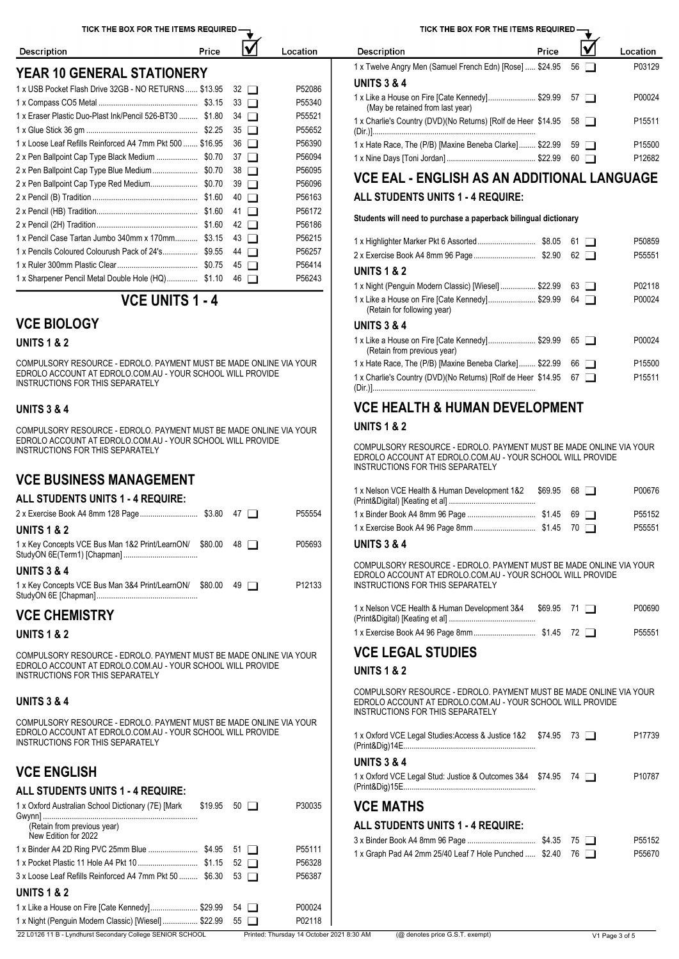IV

Location

Price

**YEAR 10 GENERAL STATIONERY**

| <b>UNITS 3 &amp; 4</b><br>P52086<br>1 x USB Pocket Flash Drive 32GB - NO RETURNS  \$13.95 32                                                                                           |  |
|----------------------------------------------------------------------------------------------------------------------------------------------------------------------------------------|--|
|                                                                                                                                                                                        |  |
| 1 x Like a House on Fire [Cate Kennedy] \$29.99 57<br>P00024<br>P55340<br>(May be retained from last year)                                                                             |  |
| 1 x Eraser Plastic Duo-Plast Ink/Pencil 526-BT30  \$1.80 34<br>P55521<br>1 x Charlie's Country (DVD)(No Returns) [Rolf de Heer \$14.95 58<br>P15511                                    |  |
| P55652                                                                                                                                                                                 |  |
| P56390<br>1 x Loose Leaf Refills Reinforced A4 7mm Pkt 500  \$16.95 36<br>1 x Hate Race, The (P/B) [Maxine Beneba Clarke] \$22.99 59<br>P15500                                         |  |
| P56094<br>2 x Pen Ballpoint Cap Type Black Medium  \$0.70 37<br>P12682                                                                                                                 |  |
| P56095<br>2 x Pen Ballpoint Cap Type Blue Medium \$0.70 38                                                                                                                             |  |
| <b>VCE EAL - ENGLISH AS AN ADDITIONAL LANGUAGE</b><br>P56096<br>2 x Pen Ballpoint Cap Type Red Medium \$0.70 39                                                                        |  |
| ALL STUDENTS UNITS 1 - 4 REQUIRE:<br>P56163                                                                                                                                            |  |
| P56172                                                                                                                                                                                 |  |
| Students will need to purchase a paperback bilingual dictionary<br>P56186                                                                                                              |  |
| 1 x Pencil Case Tartan Jumbo 340mm x 170mm \$3.15 43<br>P56215<br>P50859                                                                                                               |  |
| P56257<br>1 x Pencils Coloured Colourush Pack of 24's \$9.55 44<br>P55551                                                                                                              |  |
| P56414<br><b>UNITS 1 &amp; 2</b>                                                                                                                                                       |  |
| P56243<br>1 x Sharpener Pencil Metal Double Hole (HQ) \$1.10 46<br>$\mathfrak{g}$ on $\mathfrak{g}$ on $\mathfrak{g}$<br><b>DO0440</b><br>1 u Night (Dennuin Meders Clossic) Balissell |  |

# **VCE UNITS 1 - 4**

## **VCE BIOLOGY**

#### **UNITS 1 & 2**

**Description** 

COMPULSORY RESOURCE - EDROLO. PAYMENT MUST BE MADE ONLINE VIA YOUR EDROLO ACCOUNT AT EDROLO.COM.AU - YOUR SCHOOL WILL PROVIDE INSTRUCTIONS FOR THIS SEPARATELY

#### **UNITS 3 & 4**

COMPULSORY RESOURCE - EDROLO. PAYMENT MUST BE MADE ONLINE VIA YOUR EDROLO ACCOUNT AT EDROLO.COM.AU - YOUR SCHOOL WILL PROVIDE INSTRUCTIONS FOR THIS SEPARATELY

# **VCE BUSINESS MANAGEMENT**

#### **ALL STUDENTS UNITS 1 - 4 REQUIRE:**

|                                                            |         |             | P55554             | 1 x Binder Book A4 8mm 96 Pa                          |
|------------------------------------------------------------|---------|-------------|--------------------|-------------------------------------------------------|
| <b>UNITS 1 &amp; 2</b>                                     |         |             |                    | 1 x Exercise Book A4 96 Page                          |
| 1 x Key Concepts VCE Bus Man 1&2 Print/LearnON/ \$80.00 48 |         |             | P05693             | <b>UNITS 3 &amp; 4</b>                                |
| <b>UNITS 3 &amp; 4</b>                                     |         |             |                    | <b>COMPULSORY RESOURCE -</b><br>EDROLO ACCOUNT AT EDR |
| 1 x Key Concepts VCE Bus Man 3&4 Print/LearnON/            | \$80.00 | $49$ $\Box$ | P <sub>12133</sub> | <b>INSTRUCTIONS FOR THIS S</b>                        |

## **VCE CHEMISTRY**

#### **UNITS 1 & 2**

COMPULSORY RESOURCE - EDROLO. PAYMENT MUST BE MADE ONLINE VIA YOUR EDROLO ACCOUNT AT EDROLO.COM.AU - YOUR SCHOOL WILL PROVIDE INSTRUCTIONS FOR THIS SEPARATELY

#### **UNITS 3 & 4**

COMPULSORY RESOURCE - EDROLO. PAYMENT MUST BE MADE ONLINE VIA YOUR EDROLO ACCOUNT AT EDROLO.COM.AU - YOUR SCHOOL WILL PROVIDE INSTRUCTIONS FOR THIS SEPARATELY

## **VCE ENGLISH**

#### **ALL STUDENTS UNITS 1 - 4 REQUIRE:**

| 1 x Oxford Australian School Dictionary (7E) [Mark                | $$19.95$ 50 $\Box$ | P30035                                    | <b>VCE MATHS</b>                                       |      |                |
|-------------------------------------------------------------------|--------------------|-------------------------------------------|--------------------------------------------------------|------|----------------|
| (Retain from previous year)<br>New Edition for 2022               |                    |                                           | ALL STUDENTS UNITS 1 - 4 REQUIRE:                      |      |                |
|                                                                   |                    | P55111                                    | 1 x Graph Pad A4 2mm 25/40 Leaf 7 Hole Punched  \$2.40 | 76 □ |                |
|                                                                   |                    | P56328                                    |                                                        |      |                |
| $3 \times$ Loose Leaf Refills Reinforced A4 7mm Pkt 50  \$6.30 53 |                    | P56387                                    |                                                        |      |                |
| <b>UNITS 1 &amp; 2</b>                                            |                    |                                           |                                                        |      |                |
| 1 x Like a House on Fire [Cate Kennedy]\$29.99 54 □               |                    | P00024                                    |                                                        |      |                |
| 1 x Night (Penguin Modern Classic) [Wiesel]  \$22.99 55           |                    | P02118                                    |                                                        |      |                |
| 22 L0126 11 B - Lyndhurst Secondary College SENIOR SCHOOL         |                    | Printed: Thursday 14 October 2021 8:30 AM | (@ denotes price G.S.T. exempt)                        |      | V1 Page 3 of 5 |

TICK THE BOX FOR THE ITEMS REQUIRED

| Price<br><b>Description</b>                                                            |                | Location           |
|----------------------------------------------------------------------------------------|----------------|--------------------|
| 1 x Twelve Angry Men (Samuel French Edn) [Rose]  \$24.95 56                            |                | P03129             |
| <b>UNITS 3 &amp; 4</b>                                                                 |                |                    |
| 1 x Like a House on Fire [Cate Kennedy] \$29.99 57<br>(May be retained from last year) |                | P00024             |
| 1 x Charlie's Country (DVD)(No Returns) [Rolf de Heer \$14.95 58                       |                | P <sub>15511</sub> |
| 1 x Hate Race, The (P/B) [Maxine Beneba Clarke] \$22.99                                | $59 \mid \mid$ | P15500             |
|                                                                                        | 60 I I         | P12682             |

|                                                                                | 61          | P50859             |
|--------------------------------------------------------------------------------|-------------|--------------------|
|                                                                                | 62          | P55551             |
| <b>UNITS 1 &amp; 2</b>                                                         |             |                    |
| 1 x Night (Penguin Modern Classic) [Wiesel] \$22.99                            | 63          | P02118             |
| 1 x Like a House on Fire [Cate Kennedy] \$29.99<br>(Retain for following year) | 64          | P00024             |
| <b>UNITS 3 &amp; 4</b>                                                         |             |                    |
| 1 x Like a House on Fire [Cate Kennedy] \$29.99<br>(Retain from previous year) | $65$ $\Box$ | P00024             |
| 1 x Hate Race, The (P/B) [Maxine Beneba Clarke] \$22.99                        | $66$ $\Box$ | P <sub>15500</sub> |
| 1 x Charlie's Country (DVD)(No Returns) [Rolf de Heer \$14.95                  | 67          | P <sub>15511</sub> |

# **VCE HEALTH & HUMAN DEVELOPMENT**

#### **UNITS 1 & 2**

COMPULSORY RESOURCE - EDROLO. PAYMENT MUST BE MADE ONLINE VIA YOUR EDROLO ACCOUNT AT EDROLO.COM.AU - YOUR SCHOOL WILL PROVIDE INSTRUCTIONS FOR THIS SEPARATELY

| 1 x Nelson VCE Health & Human Development 1&2 | $$69.95$ 68 $\Box$ | P00676             |
|-----------------------------------------------|--------------------|--------------------|
|                                               |                    | P <sub>55152</sub> |
|                                               |                    | P55551             |

#### **UNITS 3 & 4**

COMPULSORY RESOURCE - EDROLO. PAYMENT MUST BE MADE ONLINE VIA YOUR EDROLO ACCOUNT AT EDROLO.COM.AU - YOUR SCHOOL WILL PROVIDE INSTRUCTIONS FOR THIS SEPARATELY

| 1 x Nelson VCE Health & Human Development 3&4 | $$69.95$ 71 1 | P00690 |
|-----------------------------------------------|---------------|--------|
|                                               |               | P55551 |

# **VCE LEGAL STUDIES**

#### **UNITS 1 & 2**

COMPULSORY RESOURCE - EDROLO. PAYMENT MUST BE MADE ONLINE VIA YOUR EDROLO ACCOUNT AT EDROLO.COM.AU - YOUR SCHOOL WILL PROVIDE INSTRUCTIONS FOR THIS SEPARATELY

| 1 x Oxford VCE Legal Studies:Access & Justice 1&2  \$74.95  73 |  | P17739 |
|----------------------------------------------------------------|--|--------|
| (Print&Dig)14E.                                                |  |        |

### **UNITS 3 & 4**

| 1 x Oxford VCE Legal Stud: Justice & Outcomes 3&4 \$74.95 | 74 I | P10787 |
|-----------------------------------------------------------|------|--------|
| (Print&Dig)15E                                            |      |        |

### **VCE MATHS**

#### **ALL STUDENTS UNITS 1 - 4 REQUIRE:**

|                                                           |  | P55152 |
|-----------------------------------------------------------|--|--------|
| 1 x Graph Pad A4 2mm 25/40 Leaf 7 Hole Punched $$2.40$ 76 |  | P55670 |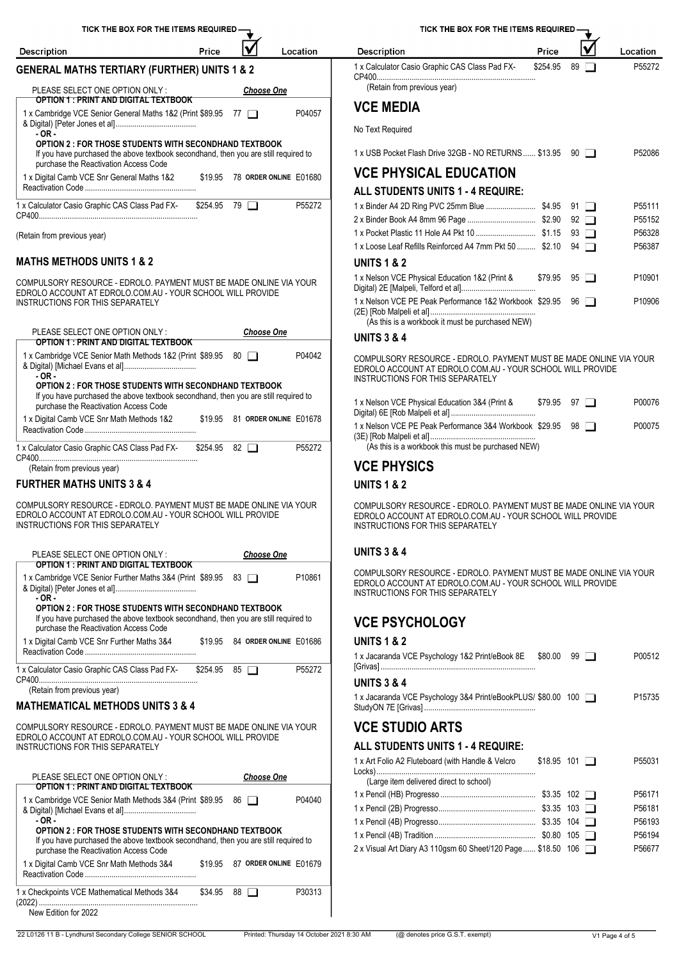| TICK THE BOX FOR THE ITEMS REQUIRED.                                                                                         |          |                                     |                                | <b>TICK THE</b>                                                  |
|------------------------------------------------------------------------------------------------------------------------------|----------|-------------------------------------|--------------------------------|------------------------------------------------------------------|
| <b>Description</b>                                                                                                           | Price    |                                     | Location                       | <b>Description</b>                                               |
| <b>GENERAL MATHS TERTIARY (FURTHER) UNITS 1 &amp; 2</b><br>PLEASE SELECT ONE OPTION ONLY:                                    |          |                                     |                                | 1 x Calculator Casio Graphic C<br>(Retain from previous year     |
| <b>OPTION 1 : PRINT AND DIGITAL TEXTBOOK</b><br>1 x Cambridge VCE Senior General Maths 1&2 (Print \$89.95 77                 |          | <b>Choose One</b><br>$\blacksquare$ | P04057                         | <b>VCE MEDIA</b>                                                 |
| $-OR -$<br><b>OPTION 2: FOR THOSE STUDENTS WITH SECONDHAND TEXTBOOK</b>                                                      |          |                                     |                                | No Text Required                                                 |
| If you have purchased the above textbook secondhand, then you are still required to<br>purchase the Reactivation Access Code |          |                                     |                                | 1 x USB Pocket Flash Drive 32                                    |
| 1 x Digital Camb VCE Snr General Maths 1&2                                                                                   |          |                                     | \$19.95 78 ORDER ONLINE E01680 | <b>VCE PHYSICAL E</b><br><b>ALL STUDENTS UNITS</b>               |
| 1 x Calculator Casio Graphic CAS Class Pad FX-                                                                               | \$254.95 | 79 I I                              | P55272                         | 1 x Binder A4 2D Ring PVC 25<br>2 x Binder Book A4 8mm 96 Pa     |
| (Retain from previous year)                                                                                                  |          |                                     |                                | 1 x Pocket Plastic 11 Hole A4<br>1 x Loose Leaf Refills Reinford |
| <b>MATHS METHODS UNITS 1 &amp; 2</b>                                                                                         |          |                                     |                                | <b>UNITS 1 &amp; 2</b>                                           |
| $\overline{1}$                                                                                                               |          |                                     |                                | 1 x Nelson VCE Physical Educ                                     |

COMPULSORY RESOURCE - EDROLO. PAYMENT MUST BE MADE ONLINE VIA YOUR EDROLO ACCOUNT AT EDROLO.COM.AU - YOUR SCHOOL WILL PROVIDE INSTRUCTIONS FOR THIS SEPARATELY

| PLEASE SELECT ONE OPTION ONLY:                                                                                                                                       | <b>Choose One</b>                 | <b>UNITS 3 &amp; 4</b>                                                                                                                                               |  |  |  |  |  |  |
|----------------------------------------------------------------------------------------------------------------------------------------------------------------------|-----------------------------------|----------------------------------------------------------------------------------------------------------------------------------------------------------------------|--|--|--|--|--|--|
| <b>OPTION 1: PRINT AND DIGITAL TEXTBOOK</b>                                                                                                                          |                                   |                                                                                                                                                                      |  |  |  |  |  |  |
| 1 x Cambridge VCE Senior Math Methods 1&2 (Print \$89.95 80 □<br>P04042<br>$-OR-$<br><b>OPTION 2 : FOR THOSE STUDENTS WITH SECONDHAND TEXTBOOK</b>                   |                                   | COMPULSORY RESOURCE - EDROLO, PAYMENT MUST BE MADE ONLINE VIA YOUR<br>EDROLO ACCOUNT AT EDROLO.COM.AU - YOUR SCHOOL WILL PROVIDE<br>INSTRUCTIONS FOR THIS SEPARATELY |  |  |  |  |  |  |
| If you have purchased the above textbook secondhand, then you are still required to<br>purchase the Reactivation Access Code                                         |                                   | 1 x Nelson VCE Physical Education 3&4 (Print &<br>$$79.95$ $97$ $\Box$<br>P00076                                                                                     |  |  |  |  |  |  |
| 1 x Digital Camb VCE Snr Math Methods 1&2                                                                                                                            | \$19.95 81 ORDER ONLINE E01678    | 1 x Nelson VCE PE Peak Performance 3&4 Workbook \$29.95 98<br>P00075                                                                                                 |  |  |  |  |  |  |
| 1 x Calculator Casio Graphic CAS Class Pad FX-                                                                                                                       | P55272<br>$82$ $\Box$<br>\$254.95 |                                                                                                                                                                      |  |  |  |  |  |  |
| (Retain from previous year)                                                                                                                                          |                                   | <b>VCE PHYSICS</b>                                                                                                                                                   |  |  |  |  |  |  |
| <b>FURTHER MATHS UNITS 3 &amp; 4</b>                                                                                                                                 |                                   | <b>UNITS 1 &amp; 2</b>                                                                                                                                               |  |  |  |  |  |  |
| COMPULSORY RESOURCE - EDROLO. PAYMENT MUST BE MADE ONLINE VIA YOUR<br>EDROLO ACCOUNT AT EDROLO.COM.AU - YOUR SCHOOL WILL PROVIDE<br>INSTRUCTIONS FOR THIS SEPARATELY |                                   | COMPULSORY RESOURCE - EDROLO, PAYMENT MUST BE MADE ONLINE VIA YOUR<br>EDROLO ACCOUNT AT EDROLO COM AU - YOUR SCHOOL WILL PROVIDE<br>INSTRUCTIONS FOR THIS SEPARATELY |  |  |  |  |  |  |
| PLEASE SELECT ONE OPTION ONLY:                                                                                                                                       | <b>Choose One</b>                 | <b>UNITS 3 &amp; 4</b>                                                                                                                                               |  |  |  |  |  |  |

| OPTION 1 : PRINT AND DIGITAL TEXTBOOK<br>P10861<br>1 x Cambridge VCE Senior Further Maths 3&4 (Print \$89.95 83<br>- OR -                                                                     | COMPULSORY RESOURCE - EDROLO, PAYMENT MUST BE MADE ONLINE VIA YOUR<br>EDROLO ACCOUNT AT EDROLO.COM.AU - YOUR SCHOOL WILL PROVIDE<br>INSTRUCTIONS FOR THIS SEPARATELY |  |  |  |  |  |
|-----------------------------------------------------------------------------------------------------------------------------------------------------------------------------------------------|----------------------------------------------------------------------------------------------------------------------------------------------------------------------|--|--|--|--|--|
| <b>OPTION 2 : FOR THOSE STUDENTS WITH SECONDHAND TEXTBOOK</b><br>If you have purchased the above textbook secondhand, then you are still required to<br>purchase the Reactivation Access Code | <b>VCE PSYCHOLOGY</b>                                                                                                                                                |  |  |  |  |  |
| \$19.95 84 ORDER ONLINE E01686<br>1 x Digital Camb VCE Snr Further Maths 3&4                                                                                                                  | <b>UNITS 1 &amp; 2</b><br>1 v. Jacaranda VCE Psychology 182 Print/eRook 8E<br><b>P00512</b><br>tan ∩n aa m                                                           |  |  |  |  |  |

1 x Calculator Casio Graphic CAS Class Pad FX-CP400.............................................................................\$254.95 <sup>85</sup> P55272

(Retain from previous year)

### **MATHEMATICAL METHODS UNITS 3 & 4**

COMPULSORY RESOURCE - EDROLO. PAYMENT MUST BE MADE ONLINE VIA YOUR  $\quad$   $\blacksquare$   $\blacksquare$   $\blacksquare$   $\blacksquare$   $\blacksquare$   $\blacksquare$   $\blacksquare$   $\blacksquare$   $\blacksquare$   $\blacksquare$   $\blacksquare$   $\blacksquare$   $\blacksquare$   $\blacksquare$   $\blacksquare$   $\blacksquare$   $\blacksquare$   $\blacksquare$   $\blacksquare$   $\blacksquare$   $\blacksquare$   $\$ EDROLO ACCOUNT AT EDROLO.COM.AU - YOUR SCHOOL WILL PROVIDE INSTRUCTIONS FOR THIS SEPARATELY

| PLEASE SELECT ONE OPTION ONLY:<br>OPTION 1 : PRINT AND DIGITAL TEXTBOOK                                                                                                                                                                                            |         | <b>Choose One</b>              |        | (Large item delivered direc                                                                                                                        |
|--------------------------------------------------------------------------------------------------------------------------------------------------------------------------------------------------------------------------------------------------------------------|---------|--------------------------------|--------|----------------------------------------------------------------------------------------------------------------------------------------------------|
| 1 x Cambridge VCE Senior Math Methods 3&4 (Print \$89.95<br>$-OR-$<br><b>OPTION 2: FOR THOSE STUDENTS WITH SECONDHAND TEXTBOOK</b><br>If you have purchased the above textbook secondhand, then you are still required to<br>purchase the Reactivation Access Code |         | $86$ $\Box$                    | P04040 | 1 x Pencil (HB) Progresso<br>1 x Pencil (2B) Progresso<br>1 x Pencil (4B) Progresso<br>1 x Pencil (4B) Tradition<br>2 x Visual Art Diary A3 110gsn |
| 1 x Digital Camb VCE Snr Math Methods 3&4                                                                                                                                                                                                                          |         | \$19.95 87 ORDER ONLINE E01679 |        |                                                                                                                                                    |
| 1 x Checkpoints VCE Mathematical Methods 3&4<br>New Edition for 2022                                                                                                                                                                                               | \$34.95 | $88$ $\Box$                    | P30313 |                                                                                                                                                    |

TICK THE BOX FOR THE ITEMS REQUIRED-

| Description                                              | Price    |             | Location |
|----------------------------------------------------------|----------|-------------|----------|
| 1 x Calculator Casio Graphic CAS Class Pad FX-<br>CP400. | \$254.95 | $89$ $\Box$ | P55272   |
| (Retain from previous year)                              |          |             |          |

∓

# **VCE MEDIA**

| 1 x USB Pocket Flash Drive 32GB - NO RETURNS  \$13.95                                                       |         | -90                  | P52086             |
|-------------------------------------------------------------------------------------------------------------|---------|----------------------|--------------------|
| <b>VCE PHYSICAL EDUCATION</b>                                                                               |         |                      |                    |
| ALL STUDENTS UNITS 1 - 4 REQUIRE:                                                                           |         |                      |                    |
|                                                                                                             |         | 91 1                 | P <sub>55111</sub> |
|                                                                                                             |         | 92<br>$\blacksquare$ | P <sub>55152</sub> |
|                                                                                                             |         | 93<br>$\mathbf{L}$   | P56328             |
| 1 x Loose Leaf Refills Reinforced A4 7mm Pkt 50  \$2.10                                                     |         | 94                   | P56387             |
| <b>UNITS 1 &amp; 2</b>                                                                                      |         |                      |                    |
| 1 x Nelson VCE Physical Education 1&2 (Print &                                                              | \$79.95 | $95$ $\Box$          | P <sub>10901</sub> |
| 1 x Nelson VCE PE Peak Performance 1&2 Workbook \$29.95<br>(As this is a workbook it must be purchased NEW) |         | 96<br>$\blacksquare$ | P <sub>10906</sub> |
| <b>UNITS 3 &amp; 4</b>                                                                                      |         |                      |                    |

| 1 x Nelson VCE Physical Education 3&4 (Print &             | $$79.95$ 97 | P00076 |
|------------------------------------------------------------|-------------|--------|
| 1 x Nelson VCE PE Peak Performance 3&4 Workbook \$29.95 98 |             | P00075 |

# **VCE PHYSICS**

### **UNITS 1 & 2**

#### **UNITS 3 & 4**

COMPULSORY RESOURCE - EDROLO. PAYMENT MUST BE MADE ONLINE VIA YOUR EDROLO ACCOUNT AT EDROLO.COM.AU - YOUR SCHOOL WILL PROVIDE & Digital) [Peter Jones et al]....................................... \$89.95 <sup>83</sup> P10861 INSTRUCTIONS FOR THIS SEPARATELY

### **UNITS 1 & 2**

| 1 x Jacaranda VCE Psychology 1&2 Print/eBook 8E                                              | \$80.00             | 99 | P00512             |
|----------------------------------------------------------------------------------------------|---------------------|----|--------------------|
| <b>UNITS 3 &amp; 4</b>                                                                       |                     |    |                    |
| 1 x Jacaranda VCE Psychology 3&4 Print/eBookPLUS/ \$80.00 100                                |                     |    | P <sub>15735</sub> |
| <b>VCE STUDIO ARTS</b>                                                                       |                     |    |                    |
| ALL STUDENTS UNITS 1 - 4 REQUIRE:                                                            |                     |    |                    |
| 1 x Art Folio A2 Fluteboard (with Handle & Velcro<br>(Large item delivered direct to school) | $$18.95$ 101 $\Box$ |    | P55031             |
|                                                                                              |                     |    | P <sub>56171</sub> |
|                                                                                              |                     |    | P56181             |
|                                                                                              |                     |    | P56193             |
|                                                                                              |                     |    | P56194             |
| 2 x Visual Art Diary A3 110qsm 60 Sheet/120 Page  \$18.50 106                                |                     |    | P56677             |